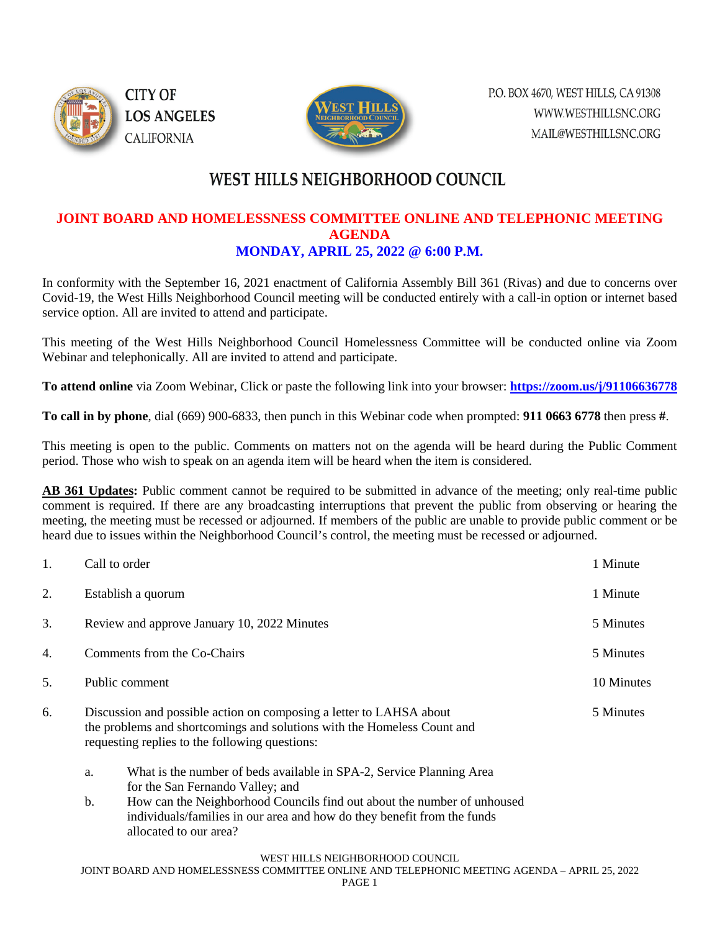



# **WEST HILLS NEIGHBORHOOD COUNCIL**

### **JOINT BOARD AND HOMELESSNESS COMMITTEE ONLINE AND TELEPHONIC MEETING AGENDA MONDAY, APRIL 25, 2022 @ 6:00 P.M.**

In conformity with the September 16, 2021 enactment of California Assembly Bill 361 (Rivas) and due to concerns over Covid-19, the West Hills Neighborhood Council meeting will be conducted entirely with a call-in option or internet based service option. All are invited to attend and participate.

This meeting of the West Hills Neighborhood Council Homelessness Committee will be conducted online via Zoom Webinar and telephonically. All are invited to attend and participate.

**To attend online** via Zoom Webinar, Click or paste the following link into your browser: **<https://zoom.us/j/91106636778>**

**To call in by phone**, dial (669) 900-6833, then punch in this Webinar code when prompted: **911 0663 6778** then press **#**.

This meeting is open to the public. Comments on matters not on the agenda will be heard during the Public Comment period. Those who wish to speak on an agenda item will be heard when the item is considered.

**AB 361 Updates:** Public comment cannot be required to be submitted in advance of the meeting; only real-time public comment is required. If there are any broadcasting interruptions that prevent the public from observing or hearing the meeting, the meeting must be recessed or adjourned. If members of the public are unable to provide public comment or be heard due to issues within the Neighborhood Council's control, the meeting must be recessed or adjourned.

| 1. | Call to order                                                                                                                                                                                                 |                                                                                                                                                                              | 1 Minute  |
|----|---------------------------------------------------------------------------------------------------------------------------------------------------------------------------------------------------------------|------------------------------------------------------------------------------------------------------------------------------------------------------------------------------|-----------|
| 2. | Establish a quorum                                                                                                                                                                                            |                                                                                                                                                                              | 1 Minute  |
| 3. | Review and approve January 10, 2022 Minutes                                                                                                                                                                   |                                                                                                                                                                              | 5 Minutes |
| 4. | Comments from the Co-Chairs                                                                                                                                                                                   |                                                                                                                                                                              | 5 Minutes |
| 5. | Public comment                                                                                                                                                                                                |                                                                                                                                                                              |           |
| 6. | Discussion and possible action on composing a letter to LAHSA about<br>5 Minutes<br>the problems and shortcomings and solutions with the Homeless Count and<br>requesting replies to the following questions: |                                                                                                                                                                              |           |
|    | a.                                                                                                                                                                                                            | What is the number of beds available in SPA-2, Service Planning Area<br>for the San Fernando Valley; and                                                                     |           |
|    | b.                                                                                                                                                                                                            | How can the Neighborhood Councils find out about the number of unhoused<br>individuals/families in our area and how do they benefit from the funds<br>allocated to our area? |           |
|    |                                                                                                                                                                                                               | WEST HILLS NEIGHBORHOOD COUNCIL                                                                                                                                              |           |

JOINT BOARD AND HOMELESSNESS COMMITTEE ONLINE AND TELEPHONIC MEETING AGENDA – APRIL 25, 2022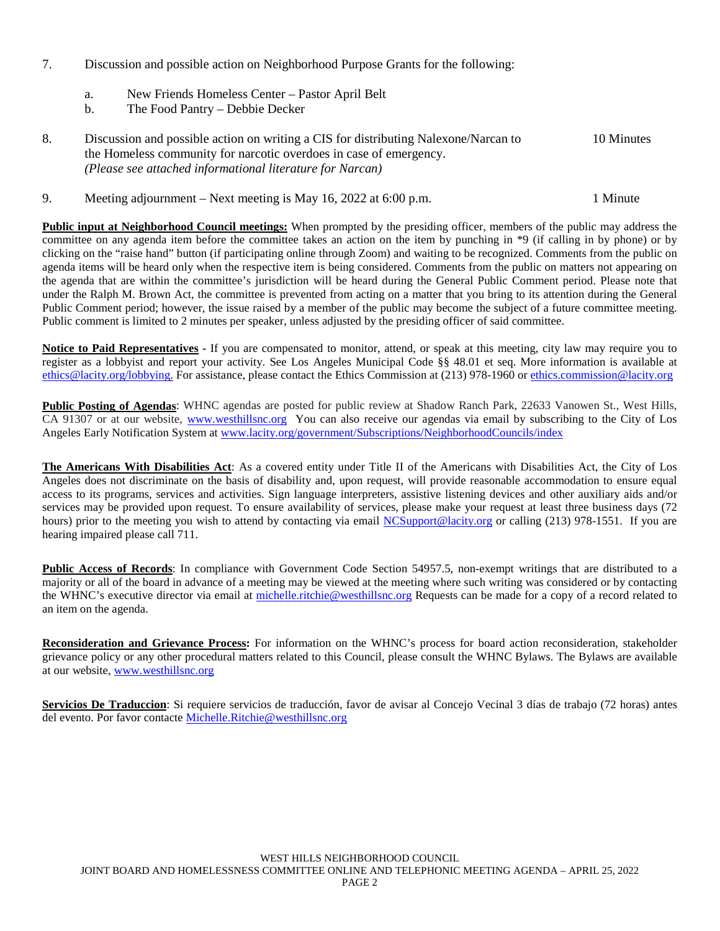- 7. Discussion and possible action on Neighborhood Purpose Grants for the following:
	- a. New Friends Homeless Center Pastor April Belt
	- b. The Food Pantry Debbie Decker
- 8. Discussion and possible action on writing a CIS for distributing Nalexone/Narcan to 10 Minutes the Homeless community for narcotic overdoes in case of emergency. *(Please see attached informational literature for Narcan)*

#### 9. Meeting adjournment – Next meeting is May 16, 2022 at 6:00 p.m. 1 Minute

**Public input at Neighborhood Council meetings:** When prompted by the presiding officer, members of the public may address the committee on any agenda item before the committee takes an action on the item by punching in \*9 (if calling in by phone) or by clicking on the "raise hand" button (if participating online through Zoom) and waiting to be recognized. Comments from the public on agenda items will be heard only when the respective item is being considered. Comments from the public on matters not appearing on the agenda that are within the committee's jurisdiction will be heard during the General Public Comment period. Please note that under the Ralph M. Brown Act, the committee is prevented from acting on a matter that you bring to its attention during the General Public Comment period; however, the issue raised by a member of the public may become the subject of a future committee meeting. Public comment is limited to 2 minutes per speaker, unless adjusted by the presiding officer of said committee.

**Notice to Paid Representatives -** If you are compensated to monitor, attend, or speak at this meeting, city law may require you to register as a lobbyist and report your activity. See Los Angeles Municipal Code §§ 48.01 et seq. More information is available at [ethics@lacity.org/lobbying.](mailto:) For assistance, please contact the Ethics Commission at (213) 978-1960 or [ethics.commission@lacity.org](mailto:)

**Public Posting of Agendas**: WHNC agendas are posted for public review at Shadow Ranch Park, 22633 Vanowen St., West Hills, CA 91307 or at our website, [www.westhillsnc.org](http://www.westhillsnc.org/) You can also receive our agendas via email by subscribing to the City of Los Angeles Early Notification System at [www.lacity.org/government/Subscriptions/NeighborhoodCouncils/index](http://www.lacity.org/government/Subscriptions/NeighborhoodCouncils/index)

**The Americans With Disabilities Act**: As a covered entity under Title II of the Americans with Disabilities Act, the City of Los Angeles does not discriminate on the basis of disability and, upon request, will provide reasonable accommodation to ensure equal access to its programs, services and activities. Sign language interpreters, assistive listening devices and other auxiliary aids and/or services may be provided upon request. To ensure availability of services, please make your request at least three business days (72 hours) prior to the meeting you wish to attend by contacting via email [NCSupport@lacity.org](mailto:NCSupport@lacity.org) or calling (213) 978-1551. If you are hearing impaired please call 711.

Public Access of Records: In compliance with Government Code Section 54957.5, non-exempt writings that are distributed to a majority or all of the board in advance of a meeting may be viewed at the meeting where such writing was considered or by contacting the WHNC's executive director via email at [michelle.ritchie@westhillsnc.org](mailto:michelle.ritchie@westhillsnc.org) Requests can be made for a copy of a record related to an item on the agenda.

**Reconsideration and Grievance Process:** For information on the WHNC's process for board action reconsideration, stakeholder grievance policy or any other procedural matters related to this Council, please consult the WHNC Bylaws. The Bylaws are available at our website, [www.westhillsnc.org](http://www.westhillsnc.org/)

**Servicios De Traduccion**: Si requiere servicios de traducción, favor de avisar al Concejo Vecinal 3 días de trabajo (72 horas) antes del evento. Por favor contacte [Michelle.Ritchie@westhillsnc.org](mailto:Michelle.Ritchie@westhillsnc.org)